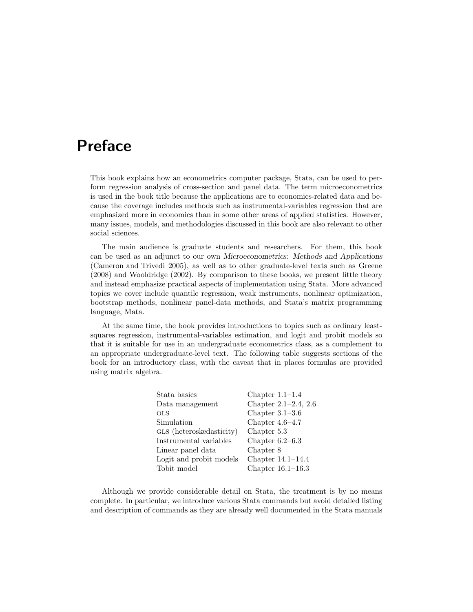## **Preface**

This book explains how an econometrics computer package, Stata, can be used to perform regression analysis of cross-section and panel data. The term microeconometrics is used in the book title because the applications are to economics-related data and because the coverage includes methods such as instrumental-variables regression that are emphasized more in economics than in some other areas of applied statistics. However, many issues, models, and methodologies discussed in this book are also relevant to other social sciences.

The main audience is graduate students and researchers. For them, this book can be used as an adjunct to our own *Microeconometrics: Methods and Applications* (Cameron and Trivedi 2005), as well as to other graduate-level texts such as Greene (2008) and Wooldridge (2002). By comparison to these books, we present little theory and instead emphasize practical aspects of implementation using Stata. More advanced topics we cover include quantile regression, weak instruments, nonlinear optimization, bootstrap methods, nonlinear panel-data methods, and Stata's matrix programming language, Mata.

At the same time, the book provides introductions to topics such as ordinary leastsquares regression, instrumental-variables estimation, and logit and probit models so that it is suitable for use in an undergraduate econometrics class, as a complement to an appropriate undergraduate-level text. The following table suggests sections of the book for an introductory class, with the caveat that in places formulas are provided using matrix algebra.

| Stata basics             | Chapter $1.1-1.4$    |
|--------------------------|----------------------|
| Data management          | Chapter 2.1-2.4, 2.6 |
| <b>OLS</b>               | Chapter $3.1-3.6$    |
| Simulation               | Chapter $4.6-4.7$    |
| GLS (heteroskedasticity) | Chapter 5.3          |
| Instrumental variables   | Chapter $6.2-6.3$    |
| Linear panel data        | Chapter 8            |
| Logit and probit models  | Chapter $14.1-14.4$  |
| Tobit model              | Chapter $16.1-16.3$  |

Although we provide considerable detail on Stata, the treatment is by no means complete. In particular, we introduce various Stata commands but avoid detailed listing and description of commands as they are already well documented in the Stata manuals